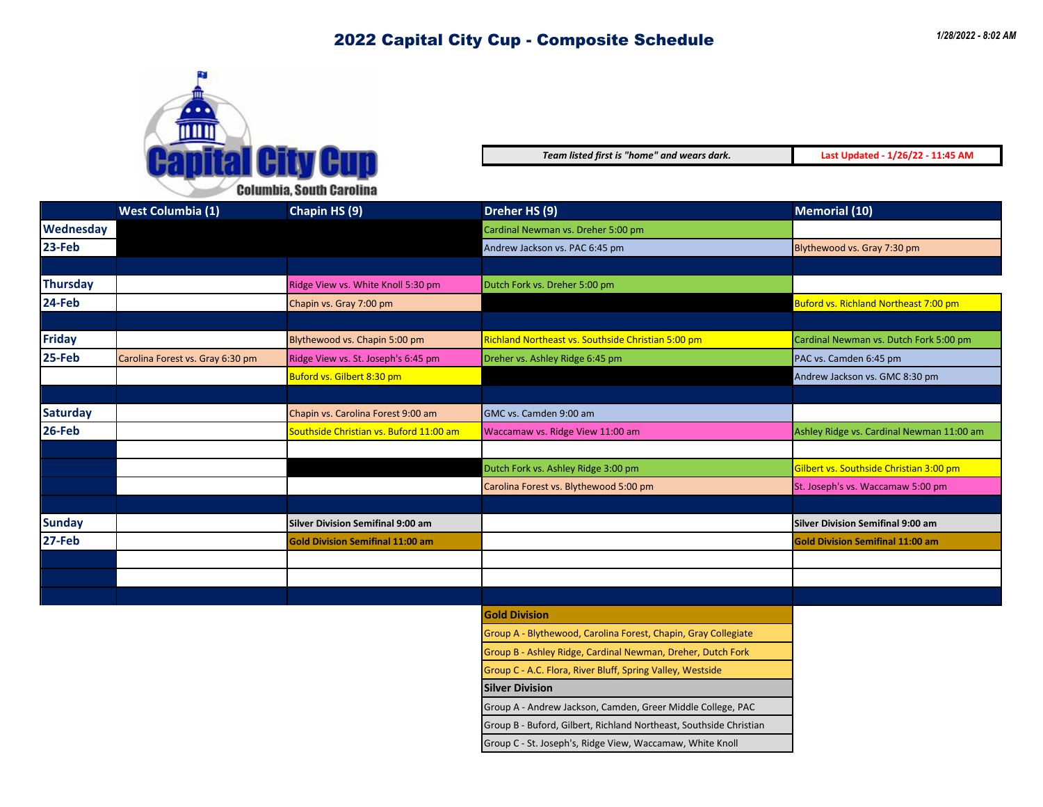

*Team listed first is "home" and wears dark.* **Last Updated - 1/26/22 - 11:45 AM**

| <b>Wednesday</b><br>Cardinal Newman vs. Dreher 5:00 pm<br>23-Feb<br>Andrew Jackson vs. PAC 6:45 pm<br>Blythewood vs. Gray 7:30 pm<br><b>Thursday</b><br>Ridge View vs. White Knoll 5:30 pm<br>Dutch Fork vs. Dreher 5:00 pm<br>24-Feb<br>Chapin vs. Gray 7:00 pm<br><b>Friday</b><br>Richland Northeast vs. Southside Christian 5:00 pm<br>Blythewood vs. Chapin 5:00 pm<br>25-Feb<br>Carolina Forest vs. Gray 6:30 pm<br>Ridge View vs. St. Joseph's 6:45 pm<br>Dreher vs. Ashley Ridge 6:45 pm<br>PAC vs. Camden 6:45 pm<br>Buford vs. Gilbert 8:30 pm<br><b>Saturday</b><br>Chapin vs. Carolina Forest 9:00 am<br>GMC vs. Camden 9:00 am<br>26-Feb<br>Southside Christian vs. Buford 11:00 am<br>Waccamaw vs. Ridge View 11:00 am |                                           |
|--------------------------------------------------------------------------------------------------------------------------------------------------------------------------------------------------------------------------------------------------------------------------------------------------------------------------------------------------------------------------------------------------------------------------------------------------------------------------------------------------------------------------------------------------------------------------------------------------------------------------------------------------------------------------------------------------------------------------------------|-------------------------------------------|
|                                                                                                                                                                                                                                                                                                                                                                                                                                                                                                                                                                                                                                                                                                                                      |                                           |
|                                                                                                                                                                                                                                                                                                                                                                                                                                                                                                                                                                                                                                                                                                                                      |                                           |
|                                                                                                                                                                                                                                                                                                                                                                                                                                                                                                                                                                                                                                                                                                                                      |                                           |
|                                                                                                                                                                                                                                                                                                                                                                                                                                                                                                                                                                                                                                                                                                                                      |                                           |
|                                                                                                                                                                                                                                                                                                                                                                                                                                                                                                                                                                                                                                                                                                                                      | Buford vs. Richland Northeast 7:00 pm     |
|                                                                                                                                                                                                                                                                                                                                                                                                                                                                                                                                                                                                                                                                                                                                      |                                           |
|                                                                                                                                                                                                                                                                                                                                                                                                                                                                                                                                                                                                                                                                                                                                      | Cardinal Newman vs. Dutch Fork 5:00 pm    |
|                                                                                                                                                                                                                                                                                                                                                                                                                                                                                                                                                                                                                                                                                                                                      |                                           |
|                                                                                                                                                                                                                                                                                                                                                                                                                                                                                                                                                                                                                                                                                                                                      | Andrew Jackson vs. GMC 8:30 pm            |
|                                                                                                                                                                                                                                                                                                                                                                                                                                                                                                                                                                                                                                                                                                                                      |                                           |
|                                                                                                                                                                                                                                                                                                                                                                                                                                                                                                                                                                                                                                                                                                                                      |                                           |
|                                                                                                                                                                                                                                                                                                                                                                                                                                                                                                                                                                                                                                                                                                                                      | Ashley Ridge vs. Cardinal Newman 11:00 am |
|                                                                                                                                                                                                                                                                                                                                                                                                                                                                                                                                                                                                                                                                                                                                      |                                           |
| Dutch Fork vs. Ashley Ridge 3:00 pm                                                                                                                                                                                                                                                                                                                                                                                                                                                                                                                                                                                                                                                                                                  | Gilbert vs. Southside Christian 3:00 pm   |
| Carolina Forest vs. Blythewood 5:00 pm                                                                                                                                                                                                                                                                                                                                                                                                                                                                                                                                                                                                                                                                                               | St. Joseph's vs. Waccamaw 5:00 pm         |
|                                                                                                                                                                                                                                                                                                                                                                                                                                                                                                                                                                                                                                                                                                                                      |                                           |
| <b>Sunday</b><br><b>Silver Division Semifinal 9:00 am</b>                                                                                                                                                                                                                                                                                                                                                                                                                                                                                                                                                                                                                                                                            | <b>Silver Division Semifinal 9:00 am</b>  |
| 27-Feb<br><b>Gold Division Semifinal 11:00 am</b>                                                                                                                                                                                                                                                                                                                                                                                                                                                                                                                                                                                                                                                                                    | Gold Division Semifinal 11:00 am          |
|                                                                                                                                                                                                                                                                                                                                                                                                                                                                                                                                                                                                                                                                                                                                      |                                           |
|                                                                                                                                                                                                                                                                                                                                                                                                                                                                                                                                                                                                                                                                                                                                      |                                           |
|                                                                                                                                                                                                                                                                                                                                                                                                                                                                                                                                                                                                                                                                                                                                      |                                           |
| <b>Gold Division</b>                                                                                                                                                                                                                                                                                                                                                                                                                                                                                                                                                                                                                                                                                                                 |                                           |
| Group A - Blythewood, Carolina Forest, Chapin, Gray Collegiate                                                                                                                                                                                                                                                                                                                                                                                                                                                                                                                                                                                                                                                                       |                                           |
| Group B - Ashley Ridge, Cardinal Newman, Dreher, Dutch Fork                                                                                                                                                                                                                                                                                                                                                                                                                                                                                                                                                                                                                                                                          |                                           |
| Group C - A.C. Flora, River Bluff, Spring Valley, Westside                                                                                                                                                                                                                                                                                                                                                                                                                                                                                                                                                                                                                                                                           |                                           |
| <b>Silver Division</b>                                                                                                                                                                                                                                                                                                                                                                                                                                                                                                                                                                                                                                                                                                               |                                           |
| Group A - Andrew Jackson, Camden, Greer Middle College, PAC                                                                                                                                                                                                                                                                                                                                                                                                                                                                                                                                                                                                                                                                          |                                           |
| Group B - Buford, Gilbert, Richland Northeast, Southside Christian                                                                                                                                                                                                                                                                                                                                                                                                                                                                                                                                                                                                                                                                   |                                           |
| Group C - St. Joseph's, Ridge View, Waccamaw, White Knoll                                                                                                                                                                                                                                                                                                                                                                                                                                                                                                                                                                                                                                                                            |                                           |